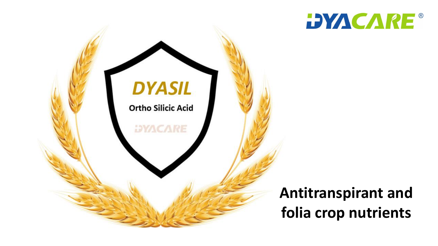



### **Antitranspirant and folia crop nutrients**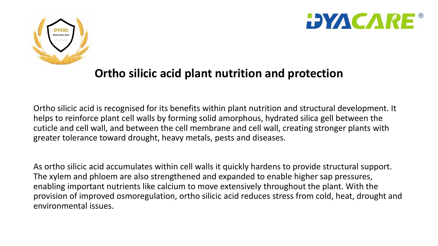



### **Ortho silicic acid plant nutrition and protection**

Ortho silicic acid is recognised for its benefits within plant nutrition and structural development. It helps to reinforce plant cell walls by forming solid amorphous, hydrated silica gell between the cuticle and cell wall, and between the cell membrane and cell wall, creating stronger plants with greater tolerance toward drought, heavy metals, pests and diseases.

As ortho silicic acid accumulates within cell walls it quickly hardens to provide structural support. The xylem and phloem are also strengthened and expanded to enable higher sap pressures, enabling important nutrients like calcium to move extensively throughout the plant. With the provision of improved osmoregulation, ortho silicic acid reduces stress from cold, heat, drought and environmental issues.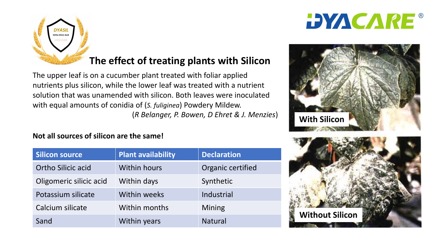



### **The effect of treating plants with Silicon**

The upper leaf is on a cucumber plant treated with foliar applied nutrients plus silicon, while the lower leaf was treated with a nutrient solution that was unamended with silicon. Both leaves were inoculated with equal amounts of conidia of (*S. fuliginea*) Powdery Mildew. (*R Belanger, P. Bowen, D Ehret & J. Menzies*)

#### **Not all sources of silicon are the same!**

| Silicon source            | <b>Plant availability</b> | <b>Declaration</b> |
|---------------------------|---------------------------|--------------------|
| <b>Ortho Silicic acid</b> | <b>Within hours</b>       | Organic certified  |
| Oligomeric silicic acid   | Within days               | Synthetic          |
| Potassium silicate        | Within weeks              | Industrial         |
| Calcium silicate          | Within months             | <b>Mining</b>      |
| Sand                      | Within years              | <b>Natural</b>     |



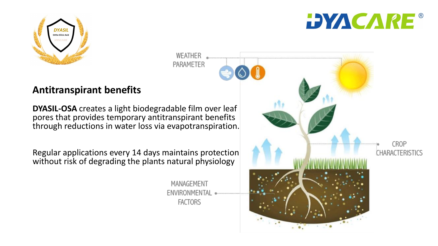



#### **Antitranspirant benefits**

**DYASIL-OSA** creates a light biodegradable film over leaf pores that provides temporary antitranspirant benefits through reductions in water loss via evapotranspiration.

Regular applications every 14 days maintains protection without risk of degrading the plants natural physiology

> MANAGEMENT ENVIRONMENTAL **FACTORS**

WEATHER PARAMETER

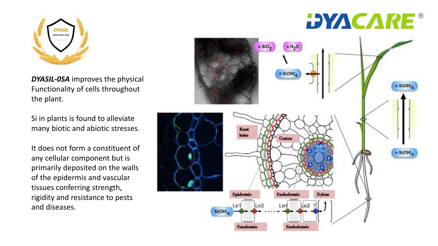

*DYASIL-0SA* improves the physical Functionality of cells throughout the plant.

Si in plants is found to alleviate many biotic and abiotic stresses.

It does not form a constituent of any cellular component but is primarily deposited on the walls of the epidermis and vascular tissues conferring strength, rigidity and resistance to pests and diseases.

# **DYACARE®**

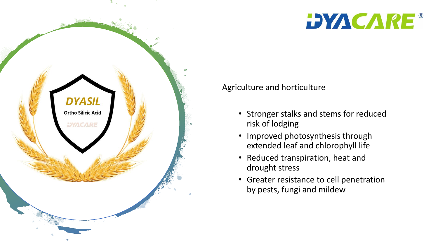



Agriculture and horticulture

- Stronger stalks and stems for reduced risk of lodging
- Improved photosynthesis through extended leaf and chlorophyll life
- Reduced transpiration, heat and drought stress
- Greater resistance to cell penetration by pests, fungi and mildew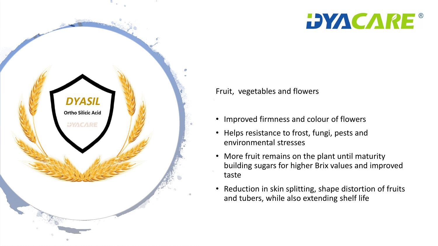



Fruit, vegetables and flowers

- Improved firmness and colour of flowers
- Helps resistance to frost, fungi, pests and environmental stresses
- More fruit remains on the plant until maturity building sugars for higher Brix values and improved taste
- Reduction in skin splitting, shape distortion of fruits and tubers, while also extending shelf life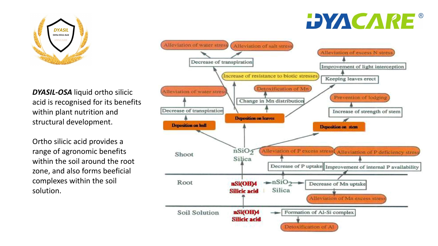

#### *DYASIL-OSA* liquid ortho silicic acid is recognised for its benefits within plant nutrition and structural development.

Ortho silicic acid provides a range of agronomic benefits within the soil around the root zone, and also forms beeficial complexes within the soil solution.

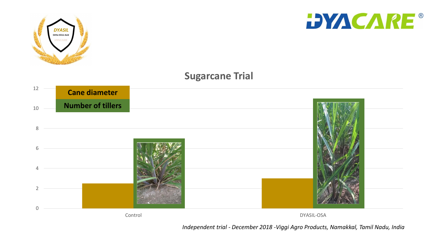

*Independent trial - December 2018 -Viggi Agro Products, Namakkal, Tamil Nadu, India*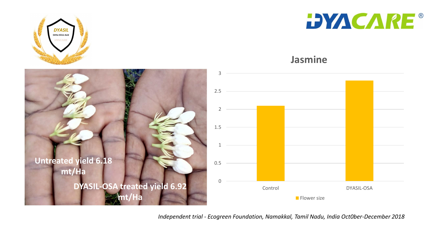



#### **Jasmine**



*Independent trial - Ecogreen Foundation, Namakkal, Tamil Nadu, India Oct0ber-December 2018*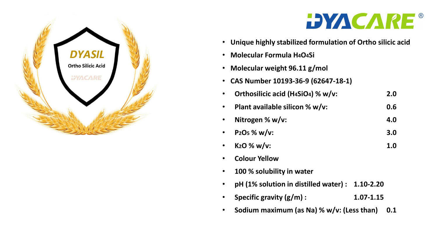

## **DYACARE®**

- **Unique highly stabilized formulation of Ortho silicic acid**
- **Molecular Formula H4O4Si**
- **Molecular weight 96.11 g/mol**
- **CAS Number 10193-36-9 (62647-18-1)**
- **Orthosilicic acid (H4SiO4) % w/v: 2.0**
- **Plant available silicon % w/v: 0.6**
- **Nitrogen % w/v: 4.0**
- **P2O<sup>5</sup> % w/v: 3.0**
- $K_2$ **O** % w/v:  $1.0$
- **Colour Yellow**
- **100 % solubility in water**
- **pH (1% solution in distilled water) : 1.10-2.20**
- **Specific gravity (g/m) : 1.07-1.15**
- **Sodium maximum (as Na) % w/v: (Less than) 0.1**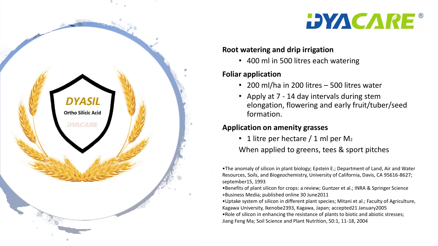

#### **Root watering and drip irrigation**

• 400 ml in 500 litres each watering

#### **Foliar application**

**DYASIL** 

**Ortho Silicic Acid** 

**DYACARE** 

- 200 ml/ha in 200 litres 500 litres water
- Apply at 7 14 day intervals during stem elongation, flowering and early fruit/tuber/seed formation.

#### **Application on amenity grasses**

• 1 litre per hectare  $/$  1 ml per M<sub>2</sub>

When applied to greens, tees & sport pitches

•The anomaly of silicon in plant biology; Epstein E.; Department of Land, Air and Water Resources, Soils, and Biogeochemistry, University of California, Davis, CA 95616-8627; september15, 1993

•Benefits of plant silicon for crops: a review; Guntzer et al.; INRA & Springer Science +Business Media; published online 30 June2011

•Uptake system of silicon in different plant species; Mitani et al.; Faculty of Agriculture, Kagawa University, Ikenobe2393, Kagawa, Japan; accepted21 January2005 •Role of silicon in enhancing the resistance of plants to biotic and abiotic stresses; Jiang Feng Ma; Soil Science and Plant Nutrition, 50:1, 11-18, 2004